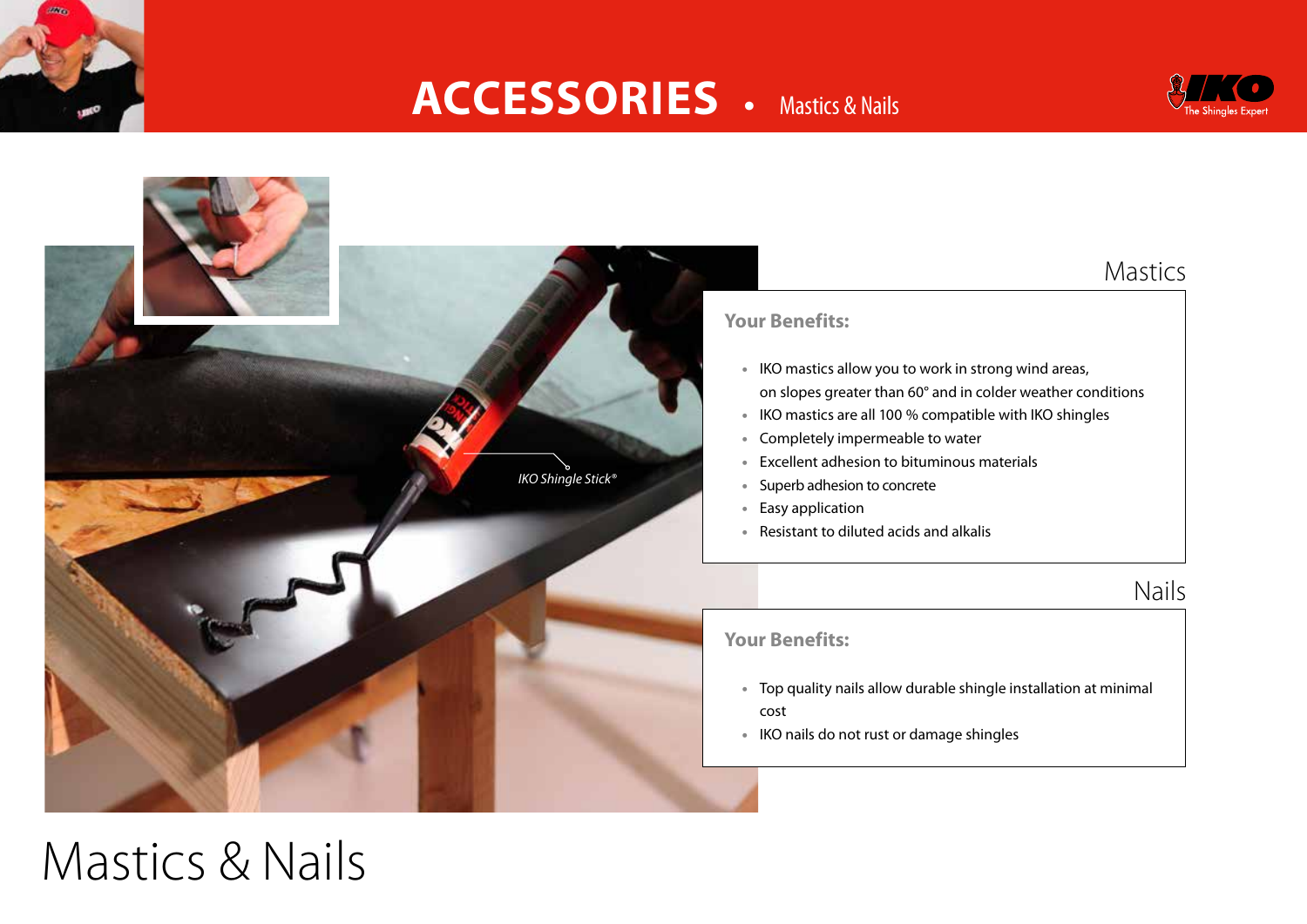

### **ACCESSORIES** • Mastics & Nails





# Mastics & Nails